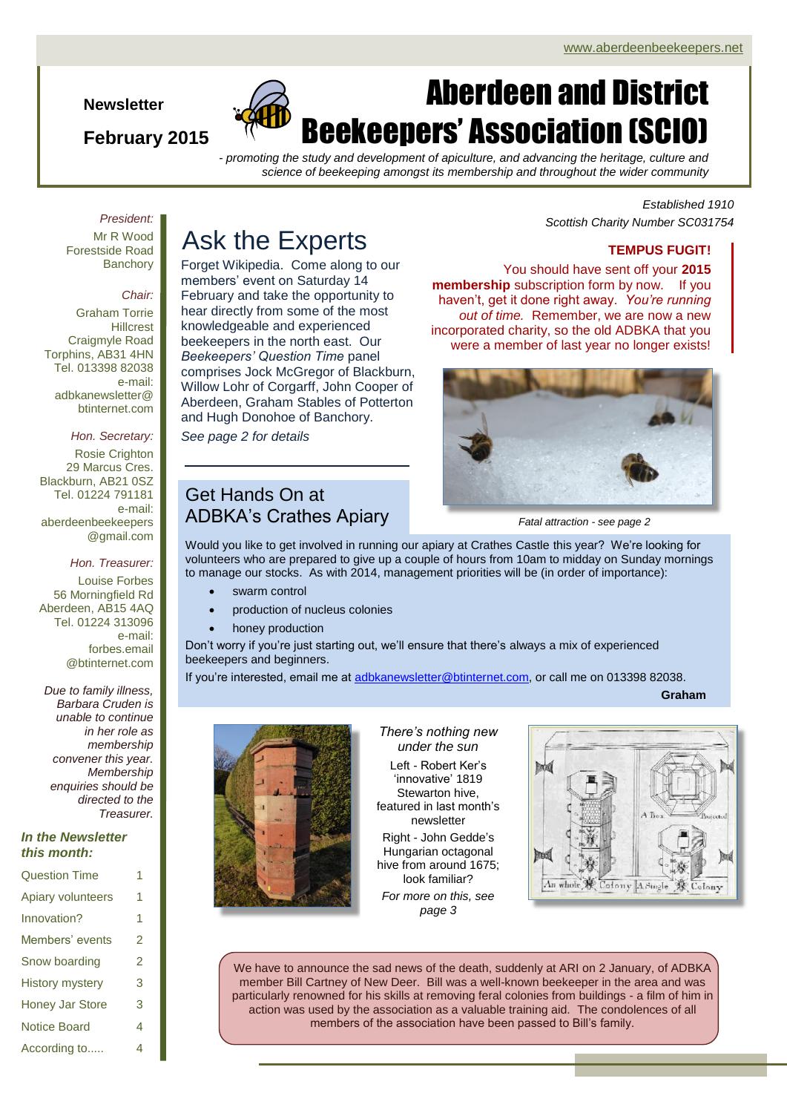**Newsletter**

### **February 2015**



# Aberdeen and District Beekeepers' Association (SCIO)

*- promoting the study and development of apiculture, and advancing the heritage, culture and science of beekeeping amongst its membership and throughout the wider community*

#### *President:*

Mr R Wood Forestside Road **Banchory** 

#### *Chair:*

Graham Torrie **Hillcrest** Craigmyle Road Torphins, AB31 4HN Tel. 013398 82038 e-mail: adbkanewsletter@ btinternet.com

#### *Hon. Secretary:*

Rosie Crighton 29 Marcus Cres. Blackburn, AB21 0SZ Tel. 01224 791181 e-mail: aberdeenbeekeepers @gmail.com

#### *Hon. Treasurer:*

Louise Forbes 56 Morningfield Rd Aberdeen, AB15 4AQ Tel. 01224 313096 e-mail: forbes.email @btinternet.com

*Due to family illness, Barbara Cruden is unable to continue in her role as membership convener this year. Membership enquiries should be directed to the Treasurer.*

#### *In the Newsletter this month:*

| <b>Question Time</b>   |   |
|------------------------|---|
| Apiary volunteers      | 1 |
| Innovation?            | 1 |
| Members' events        | 2 |
| Snow boarding          | 2 |
| <b>History mystery</b> | 3 |
| <b>Honey Jar Store</b> | 3 |
| <b>Notice Board</b>    | 4 |
| According to           | 4 |

## Ask the Experts

Forget Wikipedia. Come along to our members' event on Saturday 14 February and take the opportunity to hear directly from some of the most knowledgeable and experienced beekeepers in the north east. Our *Beekeepers' Question Time* panel comprises Jock McGregor of Blackburn, Willow Lohr of Corgarff, John Cooper of Aberdeen, Graham Stables of Potterton and Hugh Donohoe of Banchory.

*See page 2 for details*

### Get Hands On at ADBKA's Crathes Apiary

#### *Established 1910 Scottish Charity Number SC031754*

#### **TEMPUS FUGIT!**

You should have sent off your **2015 membership** subscription form by now. If you haven't, get it done right away. *You're running out of time.* Remember, we are now a new incorporated charity, so the old ADBKA that you were a member of last year no longer exists!



*Fatal attraction - see page 2*

Would you like to get involved in running our apiary at Crathes Castle this year? We're looking for volunteers who are prepared to give up a couple of hours from 10am to midday on Sunday mornings to manage our stocks. As with 2014, management priorities will be (in order of importance):

- swarm control
- production of nucleus colonies
- honey production

Don't worry if you're just starting out, we'll ensure that there's always a mix of experienced beekeepers and beginners.

If you're interested, email me at [adbkanewsletter@btinternet.com,](mailto:adbkanewsletter@btinternet.com) or call me on 013398 82038.

**Graham**



#### *There's nothing new under the sun* Left - Robert Ker's 'innovative' 1819 Stewarton hive, featured in last month's newsletter Right - John Gedde's Hungarian octagonal hive from around 1675; look familiar?

*For more on this, see page 3*



We have to announce the sad news of the death, suddenly at ARI on 2 January, of ADBKA member Bill Cartney of New Deer. Bill was a well-known beekeeper in the area and was particularly renowned for his skills at removing feral colonies from buildings - a film of him in action was used by the association as a valuable training aid. The condolences of all members of the association have been passed to Bill's family.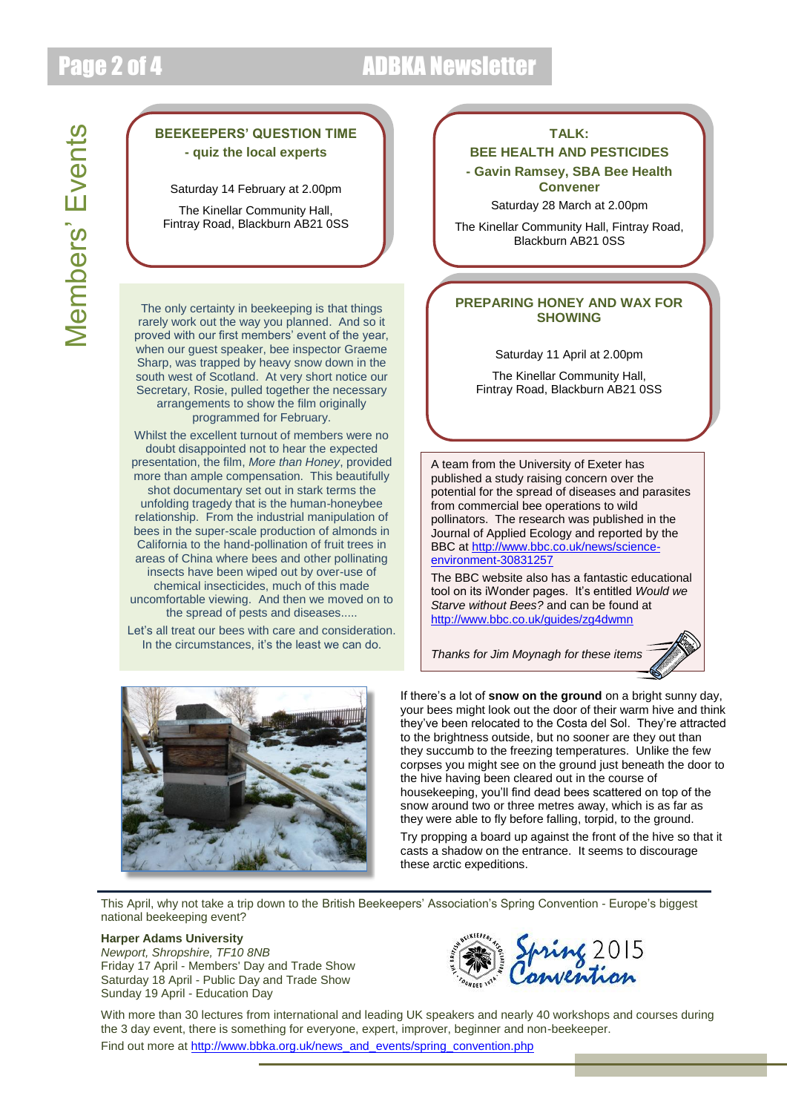## Page 2 of 4 ADBKA Newsletter

### **BEEKEEPERS' QUESTION TIME - quiz the local experts**

Saturday 14 February at 2.00pm

The Kinellar Community Hall, Fintray Road, Blackburn AB21 0SS

The only certainty in beekeeping is that things rarely work out the way you planned. And so it proved with our first members' event of the year, when our quest speaker, bee inspector Graeme Sharp, was trapped by heavy snow down in the south west of Scotland. At very short notice our Secretary, Rosie, pulled together the necessary arrangements to show the film originally programmed for February.

Whilst the excellent turnout of members were no doubt disappointed not to hear the expected presentation, the film, *More than Honey*, provided more than ample compensation. This beautifully shot documentary set out in stark terms the unfolding tragedy that is the human-honeybee relationship. From the industrial manipulation of bees in the super-scale production of almonds in California to the hand-pollination of fruit trees in areas of China where bees and other pollinating insects have been wiped out by over-use of chemical insecticides, much of this made uncomfortable viewing. And then we moved on to the spread of pests and diseases.....

Let's all treat our bees with care and consideration. In the circumstances, it's the least we can do.



#### **TALK:**

#### **BEE HEALTH AND PESTICIDES - Gavin Ramsey, SBA Bee Health Convener**

Saturday 28 March at 2.00pm

The Kinellar Community Hall, Fintray Road, Blackburn AB21 0SS

#### **PREPARING HONEY AND WAX FOR SHOWING**

Saturday 11 April at 2.00pm

The Kinellar Community Hall, Fintray Road, Blackburn AB21 0SS

A team from the University of Exeter has published a study raising concern over the potential for the spread of diseases and parasites from commercial bee operations to wild pollinators. The research was published in the Journal of Applied Ecology and reported by the BBC at [http://www.bbc.co.uk/news/science](http://www.bbc.co.uk/news/science-environment-30831257)[environment-30831257](http://www.bbc.co.uk/news/science-environment-30831257)

The BBC website also has a fantastic educational tool on its iWonder pages. It's entitled *Would we Starve without Bees?* and can be found at <http://www.bbc.co.uk/guides/zg4dwmn>

*Thanks for Jim Moynagh for these items*



If there's a lot of **snow on the ground** on a bright sunny day, your bees might look out the door of their warm hive and think they've been relocated to the Costa del Sol. They're attracted to the brightness outside, but no sooner are they out than they succumb to the freezing temperatures. Unlike the few corpses you might see on the ground just beneath the door to the hive having been cleared out in the course of housekeeping, you'll find dead bees scattered on top of the snow around two or three metres away, which is as far as they were able to fly before falling, torpid, to the ground.

Try propping a board up against the front of the hive so that it casts a shadow on the entrance. It seems to discourage these arctic expeditions.

This April, why not take a trip down to the British Beekeepers' Association's Spring Convention - Europe's biggest national beekeeping event?

#### **Harper Adams University**

*Newport, Shropshire, TF10 8NB* Friday 17 April - Members' Day and Trade Show Saturday 18 April - Public Day and Trade Show Sunday 19 April - Education Day



With more than 30 lectures from international and leading UK speakers and nearly 40 workshops and courses during the 3 day event, there is something for everyone, expert, improver, beginner and non-beekeeper. Find out more a[t http://www.bbka.org.uk/news\\_and\\_events/spring\\_convention.php](http://www.bbka.org.uk/news_and_events/spring_convention.php)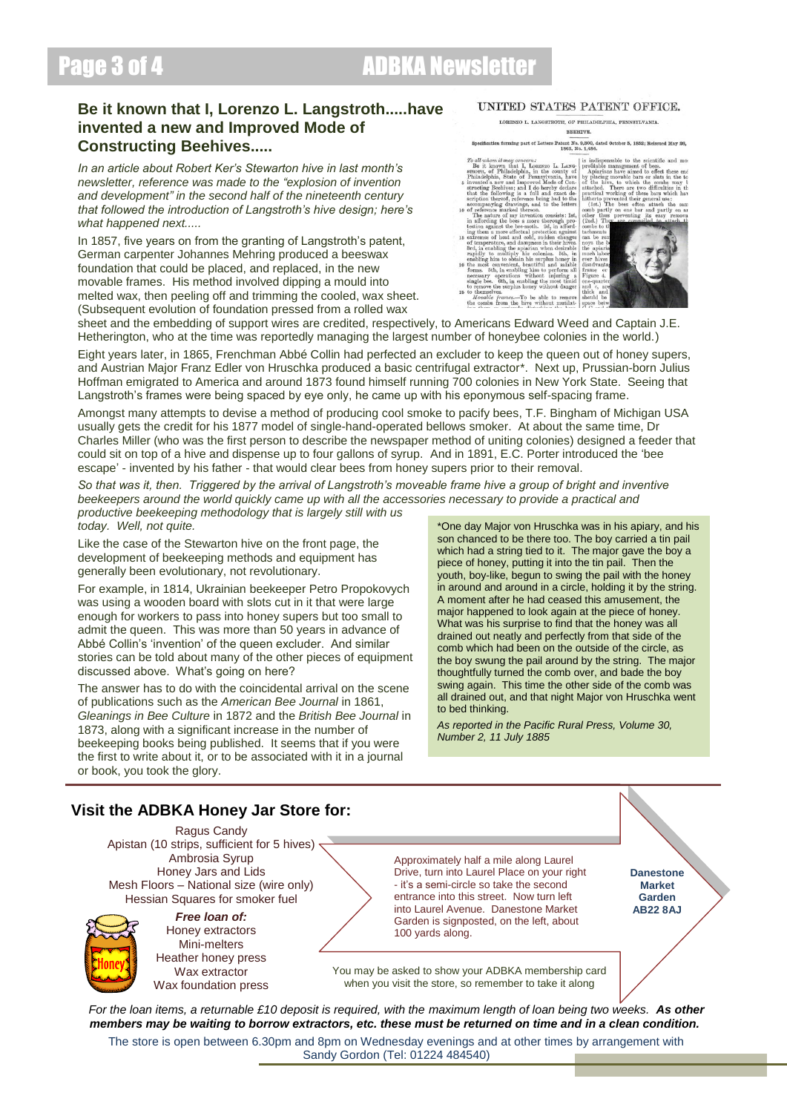### Page 3 of 4 ADBKA Newsletter

### **Be it known that I, Lorenzo L. Langstroth.....have invented a new and Improved Mode of Constructing Beehives.....**

*In an article about Robert Ker's Stewarton hive in last month's newsletter, reference was made to the "explosion of invention and development" in the second half of the nineteenth century that followed the introduction of Langstroth's hive design; here's what happened next.....*

In 1857, five years on from the granting of Langstroth's patent, German carpenter Johannes Mehring produced a beeswax foundation that could be placed, and replaced, in the new movable frames. His method involved dipping a mould into melted wax, then peeling off and trimming the cooled, wax sheet. (Subsequent evolution of foundation pressed from a rolled wax

#### UNITED STATES PATENT OFFICE.

LORENZO L. LANGSTROTH, OF PHILADELPHIA, PENNSYLVANIA BEEHIVE.

Specification forming part of Letters Patent No. 9,300, dated October 5, 1852; Reissued May 26, 1863, No. 1,484.

Specification forming part of Letters Patent No. 3500, dated October 5, 1882; Rel 2016 Montron (1991) and 1993, No. 1484. To like the mount of the second the second of the second of the particle part of the particle parti

to themselves.<br>Movable frames....To be able to remove show that the combs from the hire without mutilate

bees.<br>
effect these end<br>
r slats in the to<br>
e combs may b



sheet and the embedding of support wires are credited, respectively, to Americans Edward Weed and Captain J.E. Hetherington, who at the time was reportedly managing the largest number of honeybee colonies in the world.)

Eight years later, in 1865, Frenchman Abbé Collin had perfected an excluder to keep the queen out of honey supers, and Austrian Major Franz Edler von Hruschka produced a basic centrifugal extractor\*. Next up, Prussian-born Julius Hoffman emigrated to America and around 1873 found himself running 700 colonies in New York State. Seeing that Langstroth's frames were being spaced by eye only, he came up with his eponymous self-spacing frame.

Amongst many attempts to devise a method of producing cool smoke to pacify bees, T.F. Bingham of Michigan USA usually gets the credit for his 1877 model of single-hand-operated bellows smoker. At about the same time, Dr Charles Miller (who was the first person to describe the newspaper method of uniting colonies) designed a feeder that could sit on top of a hive and dispense up to four gallons of syrup. And in 1891, E.C. Porter introduced the 'bee escape' - invented by his father - that would clear bees from honey supers prior to their removal.

*So that was it, then. Triggered by the arrival of Langstroth's moveable frame hive a group of bright and inventive beekeepers around the world quickly came up with all the accessories necessary to provide a practical and productive beekeeping methodology that is largely still with us* 

*today. Well, not quite.*

Like the case of the Stewarton hive on the front page, the development of beekeeping methods and equipment has generally been evolutionary, not revolutionary.

For example, in 1814, Ukrainian beekeeper Petro Propokovych was using a wooden board with slots cut in it that were large enough for workers to pass into honey supers but too small to admit the queen. This was more than 50 years in advance of Abbé Collin's 'invention' of the queen excluder. And similar stories can be told about many of the other pieces of equipment discussed above. What's going on here?

The answer has to do with the coincidental arrival on the scene of publications such as the *American Bee Journal* in 1861, *Gleanings in Bee Culture* in 1872 and the *British Bee Journal* in 1873, along with a significant increase in the number of beekeeping books being published. It seems that if you were the first to write about it, or to be associated with it in a journal or book, you took the glory.

\*One day Major von Hruschka was in his apiary, and his son chanced to be there too. The boy carried a tin pail which had a string tied to it. The major gave the boy a piece of honey, putting it into the tin pail. Then the youth, boy-like, begun to swing the pail with the honey in around and around in a circle, holding it by the string. A moment after he had ceased this amusement, the major happened to look again at the piece of honey. What was his surprise to find that the honey was all drained out neatly and perfectly from that side of the comb which had been on the outside of the circle, as the boy swung the pail around by the string. The major thoughtfully turned the comb over, and bade the boy swing again. This time the other side of the comb was all drained out, and that night Major von Hruschka went to bed thinking.

*As reported in the Pacific Rural Press, Volume 30, Number 2, 11 July 1885*